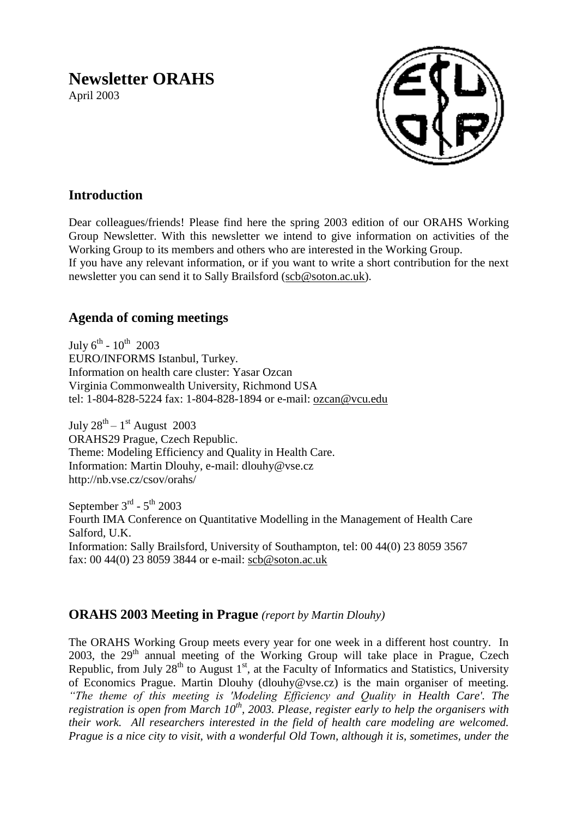# **Newsletter ORAHS**

April 2003



## **Introduction**

Dear colleagues/friends! Please find here the spring 2003 edition of our ORAHS Working Group Newsletter. With this newsletter we intend to give information on activities of the Working Group to its members and others who are interested in the Working Group. If you have any relevant information, or if you want to write a short contribution for the next newsletter you can send it to Sally Brailsford [\(scb@soton.ac.uk\)](mailto:scb@soton.ac.uk).

## **Agenda of coming meetings**

July  $6^{\text{th}}$  -  $10^{\text{th}}$  2003 EURO/INFORMS Istanbul, Turkey. Information on health care cluster: Yasar Ozcan Virginia Commonwealth University, Richmond USA tel: 1-804-828-5224 fax: 1-804-828-1894 or e-mail: [ozcan@vcu.edu](mailto:ozcan@vcu.edu)

July  $28^{\text{th}} - 1^{\text{st}}$  August 2003 ORAHS29 Prague, Czech Republic. Theme: Modeling Efficiency and Quality in Health Care. Information: Martin Dlouhy, e-mail: dlouhy@vse.cz http://nb.vse.cz/csov/orahs/

September  $3^{\text{rd}}$  -  $5^{\text{th}}$  2003 Fourth IMA Conference on Quantitative Modelling in the Management of Health Care Salford, U.K. Information: Sally Brailsford, University of Southampton, tel: 00 44(0) 23 8059 3567 fax: 00 44(0) 23 8059 3844 or e-mail: [scb@soton.ac.uk](mailto:scb@soton.ac.uk)

### **ORAHS 2003 Meeting in Prague** *(report by Martin Dlouhy)*

The ORAHS Working Group meets every year for one week in a different host country. In  $2003$ , the  $29<sup>th</sup>$  annual meeting of the Working Group will take place in Prague, Czech Republic, from July  $28<sup>th</sup>$  to August 1<sup>st</sup>, at the Faculty of Informatics and Statistics, University of Economics Prague. Martin Dlouhy (dlouhy@vse.cz) is the main organiser of meeting. *"The theme of this meeting is 'Modeling Efficiency and Quality in Health Care'. The registration is open from March 10th, 2003. Please, register early to help the organisers with their work. All researchers interested in the field of health care modeling are welcomed. Prague is a nice city to visit, with a wonderful Old Town, although it is, sometimes, under the*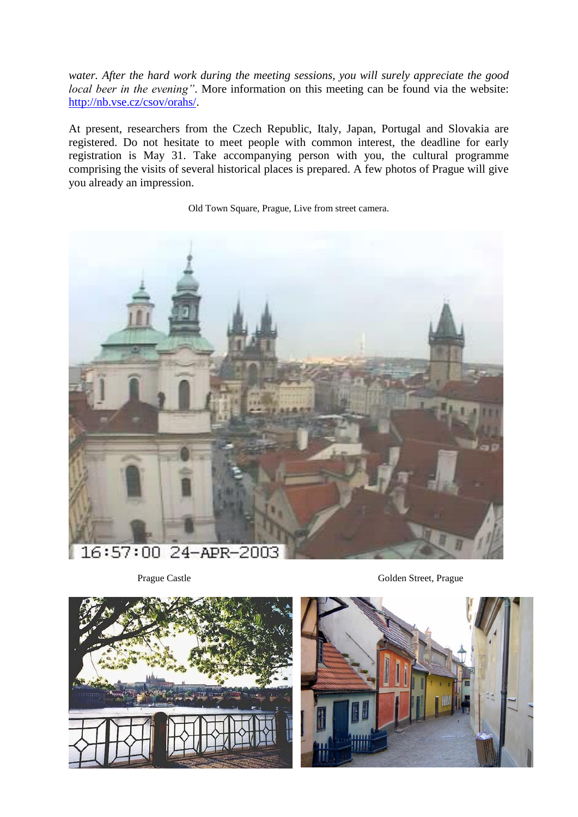*water. After the hard work during the meeting sessions, you will surely appreciate the good local beer in the evening"*. More information on this meeting can be found via the website: [http://nb.vse.cz/csov/orahs/.](http://nb.vse.cz/csov/orahs/)

At present, researchers from the Czech Republic, Italy, Japan, Portugal and Slovakia are registered. Do not hesitate to meet people with common interest, the deadline for early registration is May 31. Take accompanying person with you, the cultural programme comprising the visits of several historical places is prepared. A few photos of Prague will give you already an impression.

Old Town Square, Prague, Live from street camera.





Prague Castle Golden Street, Prague

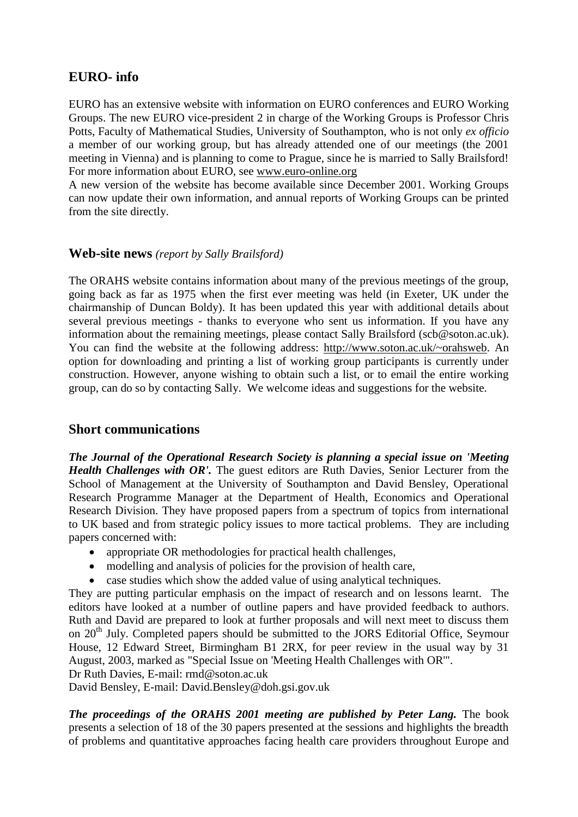### **EURO- info**

EURO has an extensive website with information on EURO conferences and EURO Working Groups. The new EURO vice-president 2 in charge of the Working Groups is Professor Chris Potts, Faculty of Mathematical Studies, University of Southampton, who is not only *ex officio* a member of our working group, but has already attended one of our meetings (the 2001 meeting in Vienna) and is planning to come to Prague, since he is married to Sally Brailsford! For more information about EURO, see [www.euro-online.org](http://www.euro-online.org/)

A new version of the website has become available since December 2001. Working Groups can now update their own information, and annual reports of Working Groups can be printed from the site directly.

#### **Web-site news** *(report by Sally Brailsford)*

The ORAHS website contains information about many of the previous meetings of the group, going back as far as 1975 when the first ever meeting was held (in Exeter, UK under the chairmanship of Duncan Boldy). It has been updated this year with additional details about several previous meetings - thanks to everyone who sent us information. If you have any information about the remaining meetings, please contact Sally Brailsford (scb@soton.ac.uk). You can find the website at the following address: [http://www.soton.ac.uk/~orahsweb.](http://www.soton.ac.uk/~orahsweb) An option for downloading and printing a list of working group participants is currently under construction. However, anyone wishing to obtain such a list, or to email the entire working group, can do so by contacting Sally. We welcome ideas and suggestions for the website.

#### **Short communications**

*The Journal of the Operational Research Society is planning a special issue on 'Meeting Health Challenges with OR'*. The guest editors are Ruth Davies, Senior Lecturer from the School of Management at the University of Southampton and David Bensley, Operational Research Programme Manager at the Department of Health, Economics and Operational Research Division. They have proposed papers from a spectrum of topics from international to UK based and from strategic policy issues to more tactical problems. They are including papers concerned with:

- appropriate OR methodologies for practical health challenges,
- modelling and analysis of policies for the provision of health care,
- case studies which show the added value of using analytical techniques.

They are putting particular emphasis on the impact of research and on lessons learnt. The editors have looked at a number of outline papers and have provided feedback to authors. Ruth and David are prepared to look at further proposals and will next meet to discuss them on 20<sup>th</sup> July. Completed papers should be submitted to the JORS Editorial Office, Seymour House, 12 Edward Street, Birmingham B1 2RX, for peer review in the usual way by 31 August, 2003, marked as "Special Issue on 'Meeting Health Challenges with OR'".

Dr Ruth Davies, E-mail: rmd@soton.ac.uk

David Bensley, E-mail: David.Bensley@doh.gsi.gov.uk

*The proceedings of the ORAHS 2001 meeting are published by Peter Lang.* The book presents a selection of 18 of the 30 papers presented at the sessions and highlights the breadth of problems and quantitative approaches facing health care providers throughout Europe and